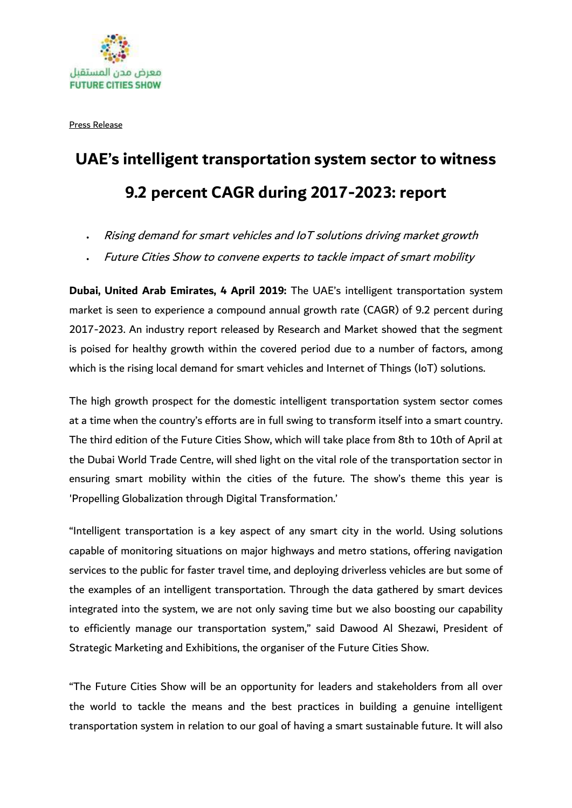

Press Release

## **UAE's intelligent transportation system sector to witness 9.2 percent CAGR during 2017-2023: report**

- Rising demand for smart vehicles and IoT solutions driving market growth
- Future Cities Show to convene experts to tackle impact of smart mobility

**Dubai, United Arab Emirates, 4 April 2019:** The UAE's intelligent transportation system market is seen to experience a compound annual growth rate (CAGR) of 9.2 percent during 2017-2023. An industry report released by Research and Market showed that the segment is poised for healthy growth within the covered period due to a number of factors, among which is the rising local demand for smart vehicles and Internet of Things (IoT) solutions.

The high growth prospect for the domestic intelligent transportation system sector comes at a time when the country's efforts are in full swing to transform itself into a smart country. The third edition of the Future Cities Show, which will take place from 8th to 10th of April at the Dubai World Trade Centre, will shed light on the vital role of the transportation sector in ensuring smart mobility within the cities of the future. The show's theme this year is 'Propelling Globalization through Digital Transformation.'

"Intelligent transportation is a key aspect of any smart city in the world. Using solutions capable of monitoring situations on major highways and metro stations, offering navigation services to the public for faster travel time, and deploying driverless vehicles are but some of the examples of an intelligent transportation. Through the data gathered by smart devices integrated into the system, we are not only saving time but we also boosting our capability to efficiently manage our transportation system," said Dawood Al Shezawi, President of Strategic Marketing and Exhibitions, the organiser of the Future Cities Show.

"The Future Cities Show will be an opportunity for leaders and stakeholders from all over the world to tackle the means and the best practices in building a genuine intelligent transportation system in relation to our goal of having a smart sustainable future. It will also